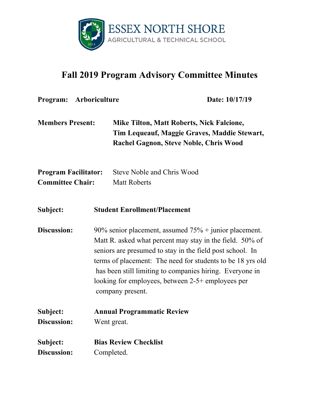

## **Fall 2019 Program Advisory Committee Minutes**

| Program: Arboriculture                                 |                                                                                                                                                                                                                                                                                                                                                                                     | Date: 10/17/19                                                                                                                                    |
|--------------------------------------------------------|-------------------------------------------------------------------------------------------------------------------------------------------------------------------------------------------------------------------------------------------------------------------------------------------------------------------------------------------------------------------------------------|---------------------------------------------------------------------------------------------------------------------------------------------------|
| <b>Members Present:</b>                                |                                                                                                                                                                                                                                                                                                                                                                                     | <b>Mike Tilton, Matt Roberts, Nick Falcione,</b><br>Tim Lequeauf, Maggie Graves, Maddie Stewart,<br><b>Rachel Gagnon, Steve Noble, Chris Wood</b> |
| <b>Program Facilitator:</b><br><b>Committee Chair:</b> |                                                                                                                                                                                                                                                                                                                                                                                     | <b>Steve Noble and Chris Wood</b><br><b>Matt Roberts</b>                                                                                          |
| Subject:                                               |                                                                                                                                                                                                                                                                                                                                                                                     | <b>Student Enrollment/Placement</b>                                                                                                               |
| <b>Discussion:</b>                                     | 90% senior placement, assumed $75%$ + junior placement.<br>Matt R. asked what percent may stay in the field. 50% of<br>seniors are presumed to stay in the field post school. In<br>terms of placement: The need for students to be 18 yrs old<br>has been still limiting to companies hiring. Everyone in<br>looking for employees, between 2-5+ employees per<br>company present. |                                                                                                                                                   |
| Subject:                                               |                                                                                                                                                                                                                                                                                                                                                                                     | <b>Annual Programmatic Review</b>                                                                                                                 |
| Discussion:                                            | Went great.                                                                                                                                                                                                                                                                                                                                                                         |                                                                                                                                                   |
| Subject:                                               | <b>Bias Review Checklist</b>                                                                                                                                                                                                                                                                                                                                                        |                                                                                                                                                   |
| Discussion:                                            | Completed.                                                                                                                                                                                                                                                                                                                                                                          |                                                                                                                                                   |